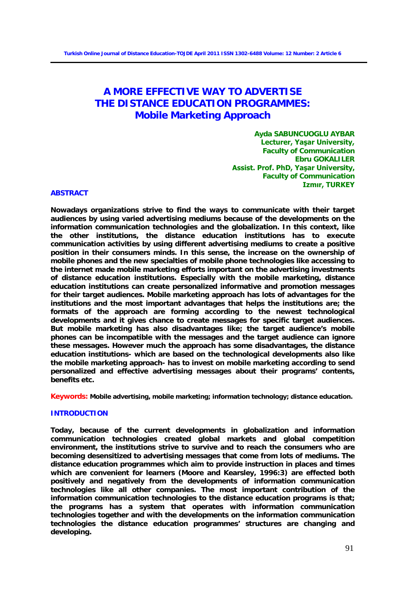# **A MORE EFFECTIVE WAY TO ADVERTISE THE DISTANCE EDUCATION PROGRAMMES: Mobile Marketing Approach**

**Ayda SABUNCUOGLU AYBAR Lecturer, Yaşar University, Faculty of Communication Ebru GOKALILER Assist. Prof. PhD, Yaşar University, Faculty of Communication Izmır, TURKEY** 

#### **ABSTRACT**

**Nowadays organizations strive to find the ways to communicate with their target audiences by using varied advertising mediums because of the developments on the information communication technologies and the globalization. In this context, like the other institutions, the distance education institutions has to execute communication activities by using different advertising mediums to create a positive position in their consumers minds. In this sense, the increase on the ownership of mobile phones and the new specialties of mobile phone technologies like accessing to the internet made mobile marketing efforts important on the advertising investments of distance education institutions. Especially with the mobile marketing, distance education institutions can create personalized informative and promotion messages for their target audiences. Mobile marketing approach has lots of advantages for the institutions and the most important advantages that helps the institutions are; the formats of the approach are forming according to the newest technological developments and it gives chance to create messages for specific target audiences. But mobile marketing has also disadvantages like; the target audience's mobile phones can be incompatible with the messages and the target audience can ignore these messages. However much the approach has some disadvantages, the distance education institutions- which are based on the technological developments also like the mobile marketing approach- has to invest on mobile marketing according to send personalized and effective advertising messages about their programs' contents, benefits etc.** 

**Keywords: Mobile advertising, mobile marketing; information technology; distance education.**

#### **INTRODUCTION**

**Today, because of the current developments in globalization and information communication technologies created global markets and global competition environment, the institutions strive to survive and to reach the consumers who are becoming desensitized to advertising messages that come from lots of mediums. The distance education programmes which aim to provide instruction in places and times which are convenient for learners (Moore and Kearsley, 1996:3) are effected both positively and negatively from the developments of information communication technologies like all other companies. The most important contribution of the information communication technologies to the distance education programs is that; the programs has a system that operates with information communication technologies together and with the developments on the information communication technologies the distance education programmes' structures are changing and developing.**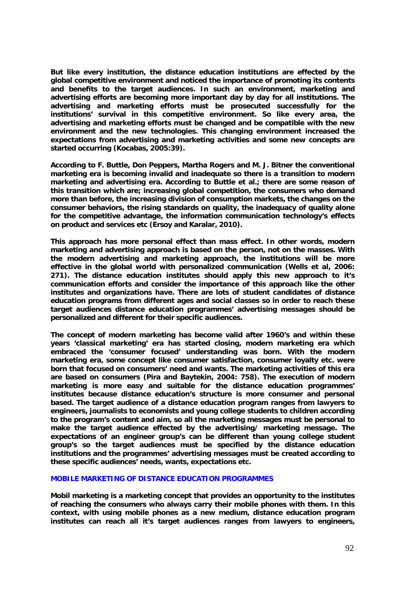**But like every institution, the distance education institutions are effected by the global competitive environment and noticed the importance of promoting its contents and benefits to the target audiences. In such an environment, marketing and advertising efforts are becoming more important day by day for all institutions. The advertising and marketing efforts must be prosecuted successfully for the institutions' survival in this competitive environment. So like every area, the advertising and marketing efforts must be changed and be compatible with the new environment and the new technologies. This changing environment increased the expectations from advertising and marketing activities and some new concepts are started occurring (Kocabas, 2005:39).** 

**According to F. Buttle, Don Peppers, Martha Rogers and M. J. Bitner the conventional marketing era is becoming invalid and inadequate so there is a transition to modern marketing and advertising era. According to Buttle et al.; there are some reason of this transition which are; increasing global competition, the consumers who demand more than before, the increasing division of consumption markets, the changes on the consumer behaviors, the rising standards on quality, the inadequacy of quality alone for the competitive advantage, the information communication technology's effects on product and services etc (Ersoy and Karalar, 2010).** 

**This approach has more personal effect than mass effect. In other words, modern marketing and advertising approach is based on the person, not on the masses. With the modern advertising and marketing approach, the institutions will be more effective in the global world with personalized communication (Wells et al, 2006: 271). The distance education institutes should apply this new approach to it's communication efforts and consider the importance of this approach like the other institutes and organizations have. There are lots of student candidates of distance education programs from different ages and social classes so in order to reach these target audiences distance education programmes' advertising messages should be personalized and different for their specific audiences.** 

**The concept of modern marketing has become valid after 1960's and within these years 'classical marketing' era has started closing, modern marketing era which embraced the 'consumer focused' understanding was born. With the modern marketing era, some concept like consumer satisfaction, consumer loyalty etc. were born that focused on consumers' need and wants. The marketing activities of this era are based on consumers (Pira and Baytekin, 2004: 758). The execution of modern marketing is more easy and suitable for the distance education programmes' institutes because distance education's structure is more consumer and personal based. The target audience of a distance education program ranges from lawyers to engineers, journalists to economists and young college students to children according to the program's content and aim, so all the marketing messages must be personal to make the target audience effected by the advertising/ marketing message. The expectations of an engineer group's can be different than young college student group's so the target audiences must be specified by the distance education institutions and the programmes' advertising messages must be created according to these specific audiences' needs, wants, expectations etc.** 

#### **MOBILE MARKETING OF DISTANCE EDUCATION PROGRAMMES**

**Mobil marketing is a marketing concept that provides an opportunity to the institutes of reaching the consumers who always carry their mobile phones with them. In this context, with using mobile phones as a new medium, distance education program institutes can reach all it's target audiences ranges from lawyers to engineers,**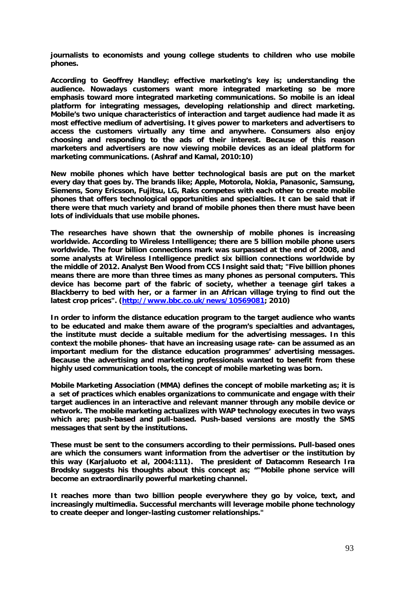**journalists to economists and young college students to children who use mobile phones.** 

**According to Geoffrey Handley; effective marketing's key is; understanding the audience. Nowadays customers want more integrated marketing so be more emphasis toward more integrated marketing communications. So mobile is an ideal platform for integrating messages, developing relationship and direct marketing. Mobile's two unique characteristics of interaction and target audience had made it as most effective medium of advertising. It gives power to marketers and advertisers to access the customers virtually any time and anywhere. Consumers also enjoy choosing and responding to the ads of their interest. Because of this reason marketers and advertisers are now viewing mobile devices as an ideal platform for marketing communications. (Ashraf and Kamal, 2010:10)** 

**New mobile phones which have better technological basis are put on the market every day that goes by. The brands like; Apple, Motorola, Nokia, Panasonic, Samsung, Siemens, Sony Ericsson, Fujitsu, LG, Raks competes with each other to create mobile phones that offers technological opportunities and specialties. It can be said that if there were that much variety and brand of mobile phones then there must have been lots of individuals that use mobile phones.** 

**The researches have shown that the ownership of mobile phones is increasing worldwide. According to Wireless Intelligence; there are 5 billion mobile phone users worldwide. The four billion connections mark was surpassed at the end of 2008, and some analysts at Wireless Intelligence predict six billion connections worldwide by the middle of 2012. Analyst Ben Wood from CCS Insight said that; "Five billion phones means there are more than three times as many phones as personal computers. This device has become part of the fabric of society, whether a teenage girl takes a Blackberry to bed with her, or a farmer in an African village trying to find out the latest crop prices". [\(http://www.bbc.co.uk/news/10569081;](http://www.bbc.co.uk/news/10569081) 2010)**

**In order to inform the distance education program to the target audience who wants to be educated and make them aware of the program's specialties and advantages, the institute must decide a suitable medium for the advertising messages. In this context the mobile phones- that have an increasing usage rate- can be assumed as an important medium for the distance education programmes' advertising messages. Because the advertising and marketing professionals wanted to benefit from these highly used communication tools, the concept of mobile marketing was born.** 

**Mobile Marketing Association (MMA) defines the concept of mobile marketing as; it is a set of practices which enables organizations to communicate and engage with their target audiences in an interactive and relevant manner through any mobile device or network. The mobile marketing actualizes with WAP technology executes in two ways which are; push-based and pull-based. Push-based versions are mostly the SMS messages that sent by the institutions.** 

**These must be sent to the consumers according to their permissions. Pull-based ones are which the consumers want information from the advertiser or the institution by this way (Karjaluoto et al, 2004:111). The president of Datacomm Research Ira Brodsky suggests his thoughts about this concept as; ""Mobile phone service will become an extraordinarily powerful marketing channel.** 

**It reaches more than two billion people everywhere they go by voice, text, and increasingly multimedia. Successful merchants will leverage mobile phone technology to create deeper and longer-lasting customer relationships."**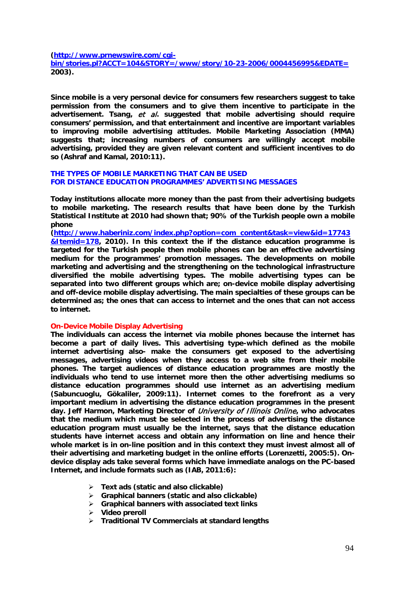**[\(http://www.prnewswire.com/cgi-](http://www.prnewswire.com/cgi-bin/stories.pl?ACCT=104&STORY=/www/story/10-23-2006/0004456995&EDATE)**

**[bin/stories.pl?ACCT=104&STORY=/www/story/10-23-2006/0004456995&EDATE=](http://www.prnewswire.com/cgi-bin/stories.pl?ACCT=104&STORY=/www/story/10-23-2006/0004456995&EDATE) 2003).** 

**Since mobile is a very personal device for consumers few researchers suggest to take permission from the consumers and to give them incentive to participate in the advertisement. Tsang,** et al**. suggested that mobile advertising should require consumers' permission, and that entertainment and incentive are important variables to improving mobile advertising attitudes. Mobile Marketing Association (MMA) suggests that; increasing numbers of consumers are willingly accept mobile advertising, provided they are given relevant content and sufficient incentives to do so (Ashraf and Kamal, 2010:11).**

#### **THE TYPES OF MOBILE MARKETING THAT CAN BE USED FOR DISTANCE EDUCATION PROGRAMMES' ADVERTISING MESSAGES**

**Today institutions allocate more money than the past from their advertising budgets to mobile marketing. The research results that have been done by the Turkish Statistical Institute at 2010 had shown that; 90% of the Turkish people own a mobile phone** 

**[\(http://www.haberiniz.com/index.php?option=com\\_content&task=view&id=17743](http://www.haberiniz.com/index.php?option=com_content&task=view&id=17743&Itemid=178) [&Itemid=178,](http://www.haberiniz.com/index.php?option=com_content&task=view&id=17743&Itemid=178) 2010). In this context the if the distance education programme is targeted for the Turkish people then mobile phones can be an effective advertising medium for the programmes' promotion messages. The developments on mobile marketing and advertising and the strengthening on the technological infrastructure diversified the mobile advertising types. The mobile advertising types can be separated into two different groups which are; on-device mobile display advertising and off-device mobile display advertising. The main specialties of these groups can be determined as; the ones that can access to internet and the ones that can not access to internet.** 

#### **On-Device Mobile Display Advertising**

**The individuals can access the internet via mobile phones because the internet has become a part of daily lives. This advertising type-which defined as the mobile internet advertising also- make the consumers get exposed to the advertising messages, advertising videos when they access to a web site from their mobile phones. The target audiences of distance education programmes are mostly the individuals who tend to use internet more then the other advertising mediums so distance education programmes should use internet as an advertising medium (Sabuncuoglu, Gökaliler, 2009:11). Internet comes to the forefront as a very important medium in advertising the distance education programmes in the present day. Jeff Harmon, Marketing Director of** University of Illinois Online**, who advocates that the medium which must be selected in the process of advertising the distance education program must usually be the internet, says that the distance education students have internet access and obtain any information on line and hence their whole market is in on-line position and in this context they must invest almost all of their advertising and marketing budget in the online efforts (Lorenzetti, 2005:5). Ondevice display ads take several forms which have immediate analogs on the PC-based Internet, and include formats such as (IAB, 2011:6):**

- **Text ads (static and also clickable)**
- **Graphical banners (static and also clickable)**
- **Graphical banners with associated text links**
- **Video preroll**
- **Traditional TV Commercials at standard lengths**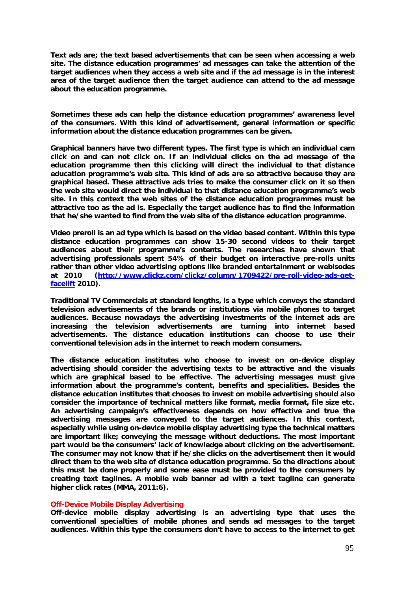**Text ads are; the text based advertisements that can be seen when accessing a web site. The distance education programmes' ad messages can take the attention of the target audiences when they access a web site and if the ad message is in the interest area of the target audience then the target audience can attend to the ad message about the education programme.** 

**Sometimes these ads can help the distance education programmes' awareness level of the consumers. With this kind of advertisement, general information or specific information about the distance education programmes can be given.** 

**Graphical banners have two different types. The first type is which an individual cam click on and can not click on. If an individual clicks on the ad message of the education programme then this clicking will direct the individual to that distance education programme's web site. This kind of ads are so attractive because they are graphical based. These attractive ads tries to make the consumer click on it so then the web site would direct the individual to that distance education programme's web site. In this context the web sites of the distance education programmes must be attractive too as the ad is. Especially the target audience has to find the information that he/she wanted to find from the web site of the distance education programme.** 

**Video preroll is an ad type which is based on the video based content. Within this type distance education programmes can show 15-30 second videos to their target audiences about their programme's contents. The researches have shown that advertising professionals spent 54% of their budget on interactive pre-rolls units rather than other video advertising options like branded entertainment or webisodes at 2010 [\(http://www.clickz.com/clickz/column/1709422/pre-roll-video-ads-get](http://www.clickz.com/clickz/column/1709422/pre-roll-video-ads-get-facelift)[facelift](http://www.clickz.com/clickz/column/1709422/pre-roll-video-ads-get-facelift) 2010).** 

**Traditional TV Commercials at standard lengths, is a type which conveys the standard television advertisements of the brands or institutions via mobile phones to target audiences. Because nowadays the advertising investments of the internet ads are increasing the television advertisements are turning into internet based advertisements. The distance education institutions can choose to use their conventional television ads in the internet to reach modern consumers.** 

**The distance education institutes who choose to invest on on-device display advertising should consider the advertising texts to be attractive and the visuals which are graphical based to be effective. The advertising messages must give information about the programme's content, benefits and specialities. Besides the distance education institutes that chooses to invest on mobile advertising should also consider the importance of technical matters like format, media format, file size etc. An advertising campaign's effectiveness depends on how effective and true the advertising messages are conveyed to the target audiences. In this context, especially while using on-device mobile display advertising type the technical matters are important like; conveying the message without deductions. The most important part would be the consumers' lack of knowledge about clicking on the advertisement. The consumer may not know that if he/she clicks on the advertisement then it would direct them to the web site of distance education programme. So the directions about this must be done properly and some ease must be provided to the consumers by creating text taglines. A mobile web banner ad with a text tagline can generate higher click rates (MMA, 2011:6).** 

#### **Off-Device Mobile Display Advertising**

**Off-device mobile display advertising is an advertising type that uses the conventional specialties of mobile phones and sends ad messages to the target audiences. Within this type the consumers don't have to access to the internet to get**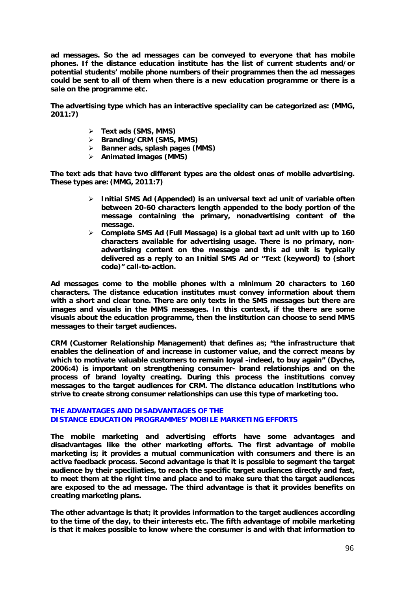**ad messages. So the ad messages can be conveyed to everyone that has mobile phones. If the distance education institute has the list of current students and/or potential students' mobile phone numbers of their programmes then the ad messages could be sent to all of them when there is a new education programme or there is a sale on the programme etc.** 

**The advertising type which has an interactive speciality can be categorized as: (MMG, 2011:7)**

- **Text ads (SMS, MMS)**
- **Branding/CRM (SMS, MMS)**
- **Banner ads, splash pages (MMS)**
- **Animated images (MMS)**

**The text ads that have two different types are the oldest ones of mobile advertising. These types are: (MMG, 2011:7)**

- **Initial SMS Ad (Appended) is an universal text ad unit of variable often between 20-60 characters length appended to the body portion of the message containing the primary, nonadvertising content of the message.**
- **Complete SMS Ad (Full Message) is a global text ad unit with up to 160 characters available for advertising usage. There is no primary, nonadvertising content on the message and this ad unit is typically delivered as a reply to an Initial SMS Ad or "Text (keyword) to (short code)" call-to-action.**

**Ad messages come to the mobile phones with a minimum 20 characters to 160 characters. The distance education institutes must convey information about them with a short and clear tone. There are only texts in the SMS messages but there are images and visuals in the MMS messages. In this context, if the there are some visuals about the education programme, then the institution can choose to send MMS messages to their target audiences.** 

**CRM (Customer Relationship Management) that defines as; "the infrastructure that enables the delineation of and increase in customer value, and the correct means by which to motivate valuable customers to remain loyal -indeed, to buy again" (Dyche, 2006:4) is important on strengthening consumer- brand relationships and on the process of brand loyalty creating. During this process the institutions convey messages to the target audiences for CRM. The distance education institutions who strive to create strong consumer relationships can use this type of marketing too.** 

#### **THE ADVANTAGES AND DISADVANTAGES OF THE DISTANCE EDUCATION PROGRAMMES' MOBILE MARKETING EFFORTS**

**The mobile marketing and advertising efforts have some advantages and disadvantages like the other marketing efforts. The first advantage of mobile marketing is; it provides a mutual communication with consumers and there is an active feedback process. Second advantage is that it is possible to segment the target audience by their speciliaties, to reach the specific target audiences directly and fast, to meet them at the right time and place and to make sure that the target audiences are exposed to the ad message. The third advantage is that it provides benefits on creating marketing plans.** 

**The other advantage is that; it provides information to the target audiences according to the time of the day, to their interests etc. The fifth advantage of mobile marketing is that it makes possible to know where the consumer is and with that information to**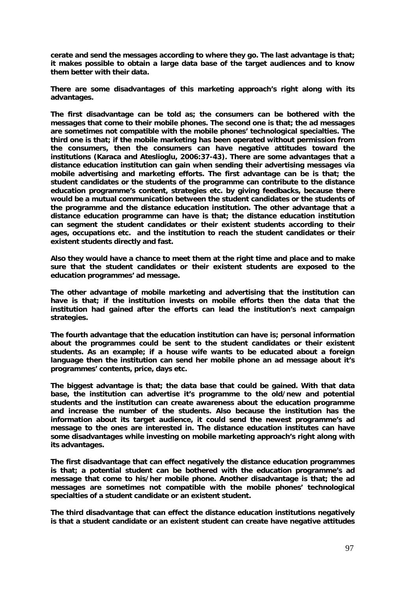**cerate and send the messages according to where they go. The last advantage is that; it makes possible to obtain a large data base of the target audiences and to know them better with their data.** 

**There are some disadvantages of this marketing approach's right along with its advantages.** 

**The first disadvantage can be told as; the consumers can be bothered with the messages that come to their mobile phones. The second one is that; the ad messages are sometimes not compatible with the mobile phones' technological specialties. The third one is that; if the mobile marketing has been operated without permission from the consumers, then the consumers can have negative attitudes toward the institutions (Karaca and Ateslioglu, 2006:37-43). There are some advantages that a distance education institution can gain when sending their advertising messages via mobile advertising and marketing efforts. The first advantage can be is that; the student candidates or the students of the programme can contribute to the distance education programme's content, strategies etc. by giving feedbacks, because there would be a mutual communication between the student candidates or the students of the programme and the distance education institution. The other advantage that a distance education programme can have is that; the distance education institution can segment the student candidates or their existent students according to their ages, occupations etc. and the institution to reach the student candidates or their existent students directly and fast.** 

**Also they would have a chance to meet them at the right time and place and to make sure that the student candidates or their existent students are exposed to the education programmes' ad message.** 

**The other advantage of mobile marketing and advertising that the institution can have is that; if the institution invests on mobile efforts then the data that the institution had gained after the efforts can lead the institution's next campaign strategies.** 

**The fourth advantage that the education institution can have is; personal information about the programmes could be sent to the student candidates or their existent students. As an example; if a house wife wants to be educated about a foreign language then the institution can send her mobile phone an ad message about it's programmes' contents, price, days etc.** 

**The biggest advantage is that; the data base that could be gained. With that data base, the institution can advertise it's programme to the old/new and potential students and the institution can create awareness about the education programme and increase the number of the students. Also because the institution has the information about its target audience, it could send the newest programme's ad message to the ones are interested in. The distance education institutes can have some disadvantages while investing on mobile marketing approach's right along with its advantages.** 

**The first disadvantage that can effect negatively the distance education programmes is that; a potential student can be bothered with the education programme's ad message that come to his/her mobile phone. Another disadvantage is that; the ad messages are sometimes not compatible with the mobile phones' technological specialties of a student candidate or an existent student.** 

**The third disadvantage that can effect the distance education institutions negatively is that a student candidate or an existent student can create have negative attitudes**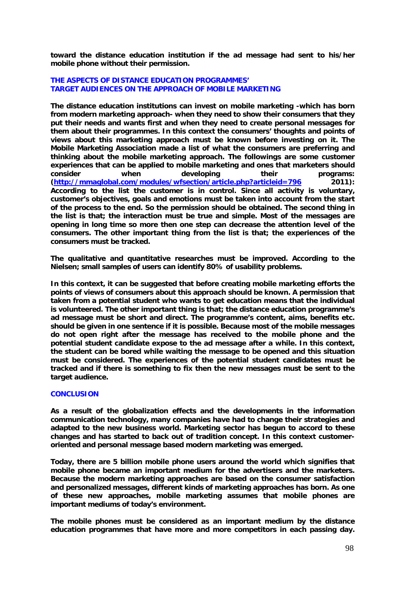**toward the distance education institution if the ad message had sent to his/her mobile phone without their permission.** 

#### **THE ASPECTS OF DISTANCE EDUCATION PROGRAMMES' TARGET AUDIENCES ON THE APPROACH OF MOBILE MARKETING**

**The distance education institutions can invest on mobile marketing -which has born from modern marketing approach- when they need to show their consumers that they put their needs and wants first and when they need to create personal messages for them about their programmes. In this context the consumers' thoughts and points of views about this marketing approach must be known before investing on it. The Mobile Marketing Association made a list of what the consumers are preferring and thinking about the mobile marketing approach. The followings are some customer experiences that can be applied to mobile marketing and ones that marketers should consider when developing their programs: [\(http://mmaglobal.com/modules/wfsection/article.php?articleid=796](http://mmaglobal.com/modules/wfsection/article.php?articleid=796) 2011): According to the list the customer is in control. Since all activity is voluntary, customer's objectives, goals and emotions must be taken into account from the start of the process to the end. So the permission should be obtained. The second thing in the list is that; the interaction must be true and simple. Most of the messages are opening in long time so more then one step can decrease the attention level of the consumers. The other important thing from the list is that; the experiences of the consumers must be tracked.** 

**The qualitative and quantitative researches must be improved. According to the Nielsen; small samples of users can identify 80% of usability problems.** 

**In this context, it can be suggested that before creating mobile marketing efforts the points of views of consumers about this approach should be known. A permission that taken from a potential student who wants to get education means that the individual is volunteered. The other important thing is that; the distance education programme's ad message must be short and direct. The programme's content, aims, benefits etc. should be given in one sentence if it is possible. Because most of the mobile messages do not open right after the message has received to the mobile phone and the potential student candidate expose to the ad message after a while. In this context, the student can be bored while waiting the message to be opened and this situation must be considered. The experiences of the potential student candidates must be tracked and if there is something to fix then the new messages must be sent to the target audience.** 

### **CONCLUSION**

**As a result of the globalization effects and the developments in the information communication technology, many companies have had to change their strategies and adapted to the new business world. Marketing sector has begun to accord to these changes and has started to back out of tradition concept. In this context customeroriented and personal message based modern marketing was emerged.** 

**Today, there are 5 billion mobile phone users around the world which signifies that mobile phone became an important medium for the advertisers and the marketers. Because the modern marketing approaches are based on the consumer satisfaction and personalized messages, different kinds of marketing approaches has born. As one of these new approaches, mobile marketing assumes that mobile phones are important mediums of today's environment.** 

**The mobile phones must be considered as an important medium by the distance education programmes that have more and more competitors in each passing day.**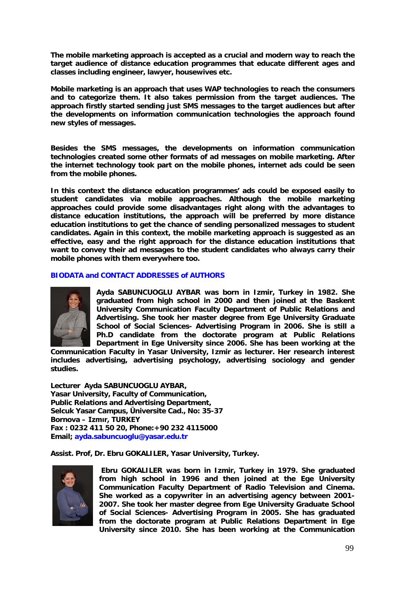**The mobile marketing approach is accepted as a crucial and modern way to reach the target audience of distance education programmes that educate different ages and classes including engineer, lawyer, housewives etc.**

**Mobile marketing is an approach that uses WAP technologies to reach the consumers and to categorize them. It also takes permission from the target audiences. The approach firstly started sending just SMS messages to the target audiences but after the developments on information communication technologies the approach found new styles of messages.** 

**Besides the SMS messages, the developments on information communication technologies created some other formats of ad messages on mobile marketing. After the internet technology took part on the mobile phones, internet ads could be seen from the mobile phones.** 

**In this context the distance education programmes' ads could be exposed easily to student candidates via mobile approaches. Although the mobile marketing approaches could provide some disadvantages right along with the advantages to distance education institutions, the approach will be preferred by more distance education institutions to get the chance of sending personalized messages to student candidates. Again in this context, the mobile marketing approach is suggested as an effective, easy and the right approach for the distance education institutions that want to convey their ad messages to the student candidates who always carry their mobile phones with them everywhere too.**

## **BIODATA and CONTACT ADDRESSES of AUTHORS**



**Ayda SABUNCUOGLU AYBAR was born in Izmir, Turkey in 1982. She graduated from high school in 2000 and then joined at the Baskent University Communication Faculty Department of Public Relations and Advertising. She took her master degree from Ege University Graduate School of Social Sciences- Advertising Program in 2006. She is still a Ph.D candidate from the doctorate program at Public Relations Department in Ege University since 2006. She has been working at the** 

**Communication Faculty in Yasar University, Izmir as lecturer. Her research interest includes advertising, advertising psychology, advertising sociology and gender studies.** 

**Lecturer Ayda SABUNCUOGLU AYBAR, Yasar University, Faculty of Communication, Public Relations and Advertising Department, Selcuk Yasar Campus, Üniversite Cad., No: 35-37 Bornova – Izmır, TURKEY Fax : 0232 411 50 20, Phone:+90 232 4115000 Email; ayda.sabuncuoglu@yasar.edu.tr**

**Assist. Prof, Dr. Ebru GOKALILER, Yasar University, Turkey.**



**Ebru GOKALILER was born in Izmir, Turkey in 1979. She graduated from high school in 1996 and then joined at the Ege University Communication Faculty Department of Radio Television and Cinema. She worked as a copywriter in an advertising agency between 2001- 2007. She took her master degree from Ege University Graduate School of Social Sciences- Advertising Program in 2005. She has graduated from the doctorate program at Public Relations Department in Ege University since 2010. She has been working at the Communication**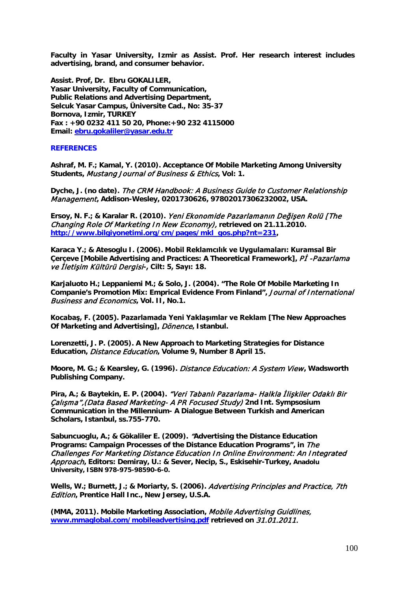**Faculty in Yasar University, Izmir as Assist. Prof. Her research interest includes advertising, brand, and consumer behavior.**

**Assist. Prof, Dr. Ebru GOKALILER, Yasar University, Faculty of Communication, Public Relations and Advertising Department, Selcuk Yasar Campus, Üniversite Cad., No: 35-37 Bornova, Izmir, TURKEY Fax : +90 0232 411 50 20, Phone:+90 232 4115000 Email: [ebru.gokaliler@yasar.edu.tr](mailto:ebru.gokaliler@yasar.edu.tr)**

#### **REFERENCES**

**Ashraf, M. F.; Kamal, Y. (2010). Acceptance Of Mobile Marketing Among University Students,** Mustang Journal of Business & Ethics**, Vol: 1.** 

**Dyche, J. (no date).** The CRM Handbook: A Business Guide to Customer Relationship Management**, Addison-Wesley, 0201730626, 97802017306232002, USA.**

**Ersoy, N. F.; & Karalar R. (2010).** Yeni Ekonomide Pazarlamanın Değişen Rolü [The Changing Role Of Marketing In New Economy), **retrieved on 21.11.2010. [http://www.bilgiyonetimi.org/cm/pages/mkl\\_gos.php?nt=231,](http://www.bilgiyonetimi.org/cm/pages/mkl_gos.php?nt=231)** 

**Karaca Y.; & Atesoglu I. (2006). Mobil Reklamcılık ve Uygulamaları: Kuramsal Bir Cerceve [Mobile Advertising and Practices: A Theoretical Framework], PI -Pazarlama** ve İletişim Kültürü Dergisi**-, Cilt: 5, Sayı: 18.**

**Karjaluoto H.; Leppaniemi M.; & Solo, J. (2004). "The Role Of Mobile Marketing In Companie's Promotion Mix: Emprical Evidence From Finland",** Journal of International Business and Economics**, Vol. II, No.1.**

**Kocabaş, F. (2005). Pazarlamada Yeni Yaklaşımlar ve Reklam [The New Approaches Of Marketing and Advertising],** Dönence**, Istanbul.**

**Lorenzetti, J. P. (2005). A New Approach to Marketing Strategies for Distance Education,** Distance Education**, Volume 9, Number 8 April 15.**

**Moore, M. G.; & Kearsley, G. (1996).** Distance Education: A System View **, Wadsworth Publishing Company.**

**Pira, A.; & Baytekin, E. P. (2004).** "Veri Tabanlı Pazarlama- Halkla İlişkiler Odaklı Bir Çalışma",(Data Based Marketing- A PR Focused Study) **2nd Int. Sympsosium Communication in the Millennium- A Dialogue Between Turkish and American Scholars, Istanbul, ss.755-770.**

**Sabuncuoglu, A.; & Gökaliler E. (2009).** "**Advertising the Distance Education Programs: Campaign Processes of the Distance Education Programs", in** The Challenges For Marketing Distance Education In Online Environment: An Integrated Approach**, Editors: Demiray, U.: & Sever, Necip, S., Eskisehir-Turkey, Anadolu University, ISBN 978-975-98590-6-0.**

**Wells, W.; Burnett, J.; & Moriarty, S. (2006).** Advertising Principles and Practice, 7th Edition**, Prentice Hall Inc., New Jersey, U.S.A.**

**(MMA, 2011). Mobile Marketing Association,** Mobile Advertising Guidlines, **[www.mmaglobal.com/mobileadvertising.pdf](http://www.mmaglobal.com/mobileadvertising.pdf) retrieved on** 31.01.2011.